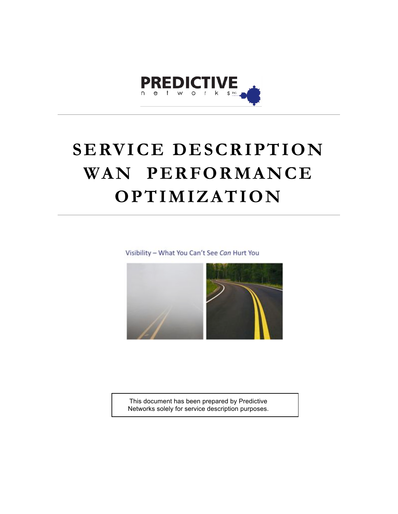

# **SERVICE DESCRIPTION WAN PERFORMANCE OPTIMIZATION**

Visibility - What You Can't See Can Hurt You



This document has been prepared by Predictive Networks solely for service description purposes.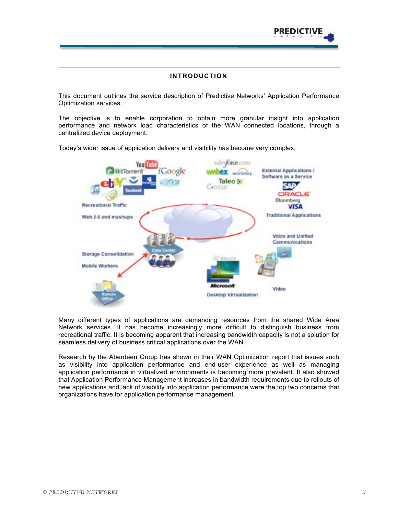

## **INTRODUCTION**

This document outlines the service description of Predictive Networks' Application Performance Optimization services.

The objective is to enable corporation to obtain more granular insight into application performance and network load characteristics of the WAN connected locations, through a centralized device deployment.

Today's wider issue of application delivery and visibility has become very complex.



Many different types of applications are demanding resources from the shared Wide Area Network services. It has become increasingly more difficult to distinguish business from recreational traffic. It is becoming apparent that increasing bandwidth capacity is not a solution for seamless delivery of business critical applications over the WAN.

Research by the Aberdeen Group has shown in their WAN Optimization report that issues such as visibility into application performance and end-user experience as well as managing application performance in virtualized environments is becoming more prevalent. It also showed that Application Performance Management increases in bandwidth requirements due to rollouts of new applications and lack of visibility into application performance were the top two concerns that organizations have for application performance management.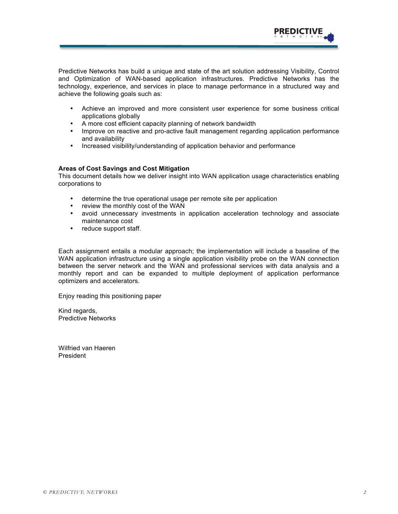

Predictive Networks has build a unique and state of the art solution addressing Visibility, Control and Optimization of WAN-based application infrastructures. Predictive Networks has the technology, experience, and services in place to manage performance in a structured way and achieve the following goals such as:

- Achieve an improved and more consistent user experience for some business critical applications globally
- A more cost efficient capacity planning of network bandwidth
- Improve on reactive and pro-active fault management regarding application performance and availability
- Increased visibility/understanding of application behavior and performance

#### **Areas of Cost Savings and Cost Mitigation**

This document details how we deliver insight into WAN application usage characteristics enabling corporations to

- determine the true operational usage per remote site per application
- review the monthly cost of the WAN
- avoid unnecessary investments in application acceleration technology and associate maintenance cost
- reduce support staff.

Each assignment entails a modular approach; the implementation will include a baseline of the WAN application infrastructure using a single application visibility probe on the WAN connection between the server network and the WAN and professional services with data analysis and a monthly report and can be expanded to multiple deployment of application performance optimizers and accelerators.

Enjoy reading this positioning paper

Kind regards, Predictive Networks

Wilfried van Haeren President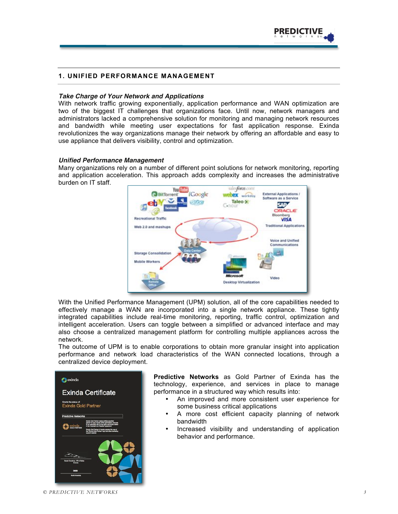

### **1. UNIFIED PERFORMANCE MANAGEMENT**

#### *Take Charge of Your Network and Applications*

With network traffic growing exponentially, application performance and WAN optimization are two of the biggest IT challenges that organizations face. Until now, network managers and administrators lacked a comprehensive solution for monitoring and managing network resources and bandwidth while meeting user expectations for fast application response. Exinda revolutionizes the way organizations manage their network by offering an affordable and easy to use appliance that delivers visibility, control and optimization.

#### *Unified Performance Management*

Many organizations rely on a number of different point solutions for network monitoring, reporting and application acceleration. This approach adds complexity and increases the administrative burden on IT staff.



With the Unified Performance Management (UPM) solution, all of the core capabilities needed to effectively manage a WAN are incorporated into a single network appliance. These tightly integrated capabilities include real-time monitoring, reporting, traffic control, optimization and intelligent acceleration. Users can toggle between a simplified or advanced interface and may also choose a centralized management platform for controlling multiple appliances across the network.

The outcome of UPM is to enable corporations to obtain more granular insight into application performance and network load characteristics of the WAN connected locations, through a centralized device deployment.



**Predictive Networks** as Gold Partner of Exinda has the technology, experience, and services in place to manage performance in a structured way which results into:

- An improved and more consistent user experience for some business critical applications
- A more cost efficient capacity planning of network bandwidth
- Increased visibility and understanding of application behavior and performance.

*© PREDICTIVE NETWORKS 3*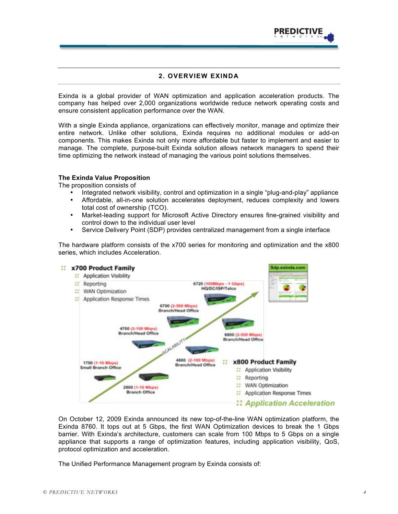

# **2. OVERVIEW EXINDA**

Exinda is a global provider of WAN optimization and application acceleration products. The company has helped over 2,000 organizations worldwide reduce network operating costs and ensure consistent application performance over the WAN.

With a single Exinda appliance, organizations can effectively monitor, manage and optimize their entire network. Unlike other solutions, Exinda requires no additional modules or add-on components. This makes Exinda not only more affordable but faster to implement and easier to manage. The complete, purpose-built Exinda solution allows network managers to spend their time optimizing the network instead of managing the various point solutions themselves.

#### **The Exinda Value Proposition**

The proposition consists of

- Integrated network visibility, control and optimization in a single "plug-and-play" appliance
- Affordable, all-in-one solution accelerates deployment, reduces complexity and lowers total cost of ownership (TCO).
- Market-leading support for Microsoft Active Directory ensures fine-grained visibility and control down to the individual user level
- Service Delivery Point (SDP) provides centralized management from a single interface

The hardware platform consists of the x700 series for monitoring and optimization and the x800 series, which includes Acceleration.



On October 12, 2009 Exinda announced its new top-of-the-line WAN optimization platform, the Exinda 8760. It tops out at 5 Gbps, the first WAN Optimization devices to break the 1 Gbps barrier. With Exinda's architecture, customers can scale from 100 Mbps to 5 Gbps on a single appliance that supports a range of optimization features, including application visibility, QoS, protocol optimization and acceleration.

The Unified Performance Management program by Exinda consists of: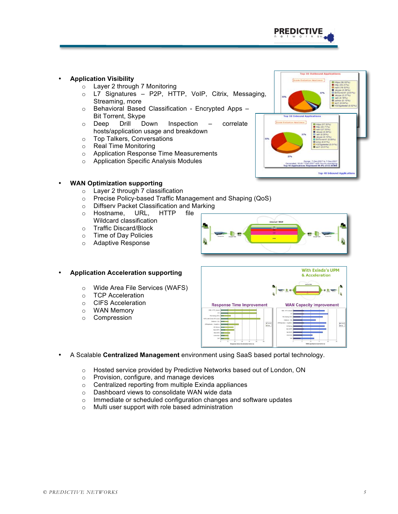

Tep 10 Out

## • **Application Visibility**

- o Layer 2 through 7 Monitoring
- o L7 Signatures P2P, HTTP, VoIP, Citrix, Messaging, Streaming, more
- o Behavioral Based Classification Encrypted Apps Bit Torrent, Skype
- o Deep Drill Down Inspection correlate hosts/application usage and breakdown
- o Top Talkers, Conversations
- o Real Time Monitoring
- o Application Response Time Measurements
- o Application Specific Analysis Modules



- o Layer 2 through 7 classification
- o Precise Policy-based Traffic Management and Shaping (QoS)
- o Diffserv Packet Classification and Marking
- o Hostname, URL, HTTP file Wildcard classification
- 
- o Traffic Discard/Block<br>
o Time of Dav Policies Time of Day Policies
- o Adaptive Response

o TCP Acceleration o CIFS Acceleration o WAN Memory<br>o Compression Compression

• **Application Acceleration supporting**

o Wide Area File Services (WAFS)



- **With Exinda's UPM** & Acceleration **Response Time Improvement WAN Capacity Improvement** a fuer  $\frac{\bullet}{\bullet}$
- A Scalable **Centralized Management** environment using SaaS based portal technology.
	- o Hosted service provided by Predictive Networks based out of London, ON
	- o Provision, configure, and manage devices
	- o Centralized reporting from multiple Exinda appliances
	- o Dashboard views to consolidate WAN wide data
	- o Immediate or scheduled configuration changes and software updates
	- o Multi user support with role based administration

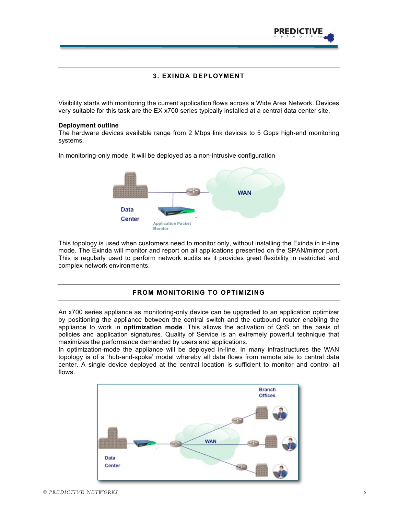

## **3. EXINDA DEPLOYMENT**

Visibility starts with monitoring the current application flows across a Wide Area Network. Devices very suitable for this task are the EX x700 series typically installed at a central data center site.

#### **Deployment outline**

The hardware devices available range from 2 Mbps link devices to 5 Gbps high-end monitoring systems.

In monitoring-only mode, it will be deployed as a non-intrusive configuration



This topology is used when customers need to monitor only, without installing the Exinda in in-line mode. The Exinda will monitor and report on all applications presented on the SPAN/mirror port. This is regularly used to perform network audits as it provides great flexibility in restricted and complex network environments.

# **FROM MONITORING TO OPTIMIZING**

An x700 series appliance as monitoring-only device can be upgraded to an application optimizer by positioning the appliance between the central switch and the outbound router enabling the appliance to work in **optimization mode**. This allows the activation of QoS on the basis of policies and application signatures. Quality of Service is an extremely powerful technique that maximizes the performance demanded by users and applications.

In optimization-mode the appliance will be deployed in-line. In many infrastructures the WAN topology is of a 'hub-and-spoke' model whereby all data flows from remote site to central data center. A single device deployed at the central location is sufficient to monitor and control all flows.

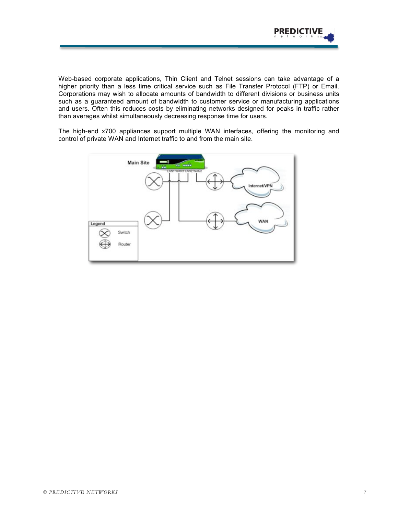

Web-based corporate applications, Thin Client and Telnet sessions can take advantage of a higher priority than a less time critical service such as File Transfer Protocol (FTP) or Email. Corporations may wish to allocate amounts of bandwidth to different divisions or business units such as a guaranteed amount of bandwidth to customer service or manufacturing applications and users. Often this reduces costs by eliminating networks designed for peaks in traffic rather than averages whilst simultaneously decreasing response time for users.

The high-end x700 appliances support multiple WAN interfaces, offering the monitoring and control of private WAN and Internet traffic to and from the main site.

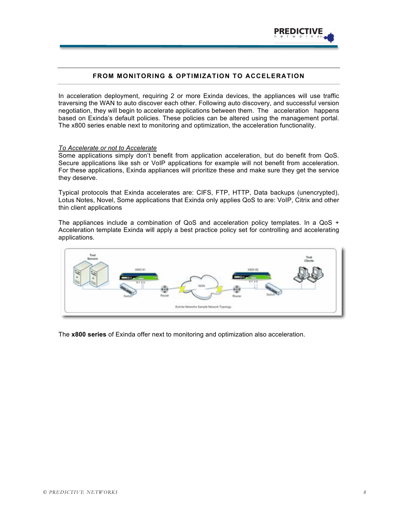

# **FROM MONITORING & OPTIMIZATION TO ACCELERATION**

In acceleration deployment, requiring 2 or more Exinda devices, the appliances will use traffic traversing the WAN to auto discover each other. Following auto discovery, and successful version negotiation, they will begin to accelerate applications between them. The acceleration happens based on Exinda's default policies. These policies can be altered using the management portal. The x800 series enable next to monitoring and optimization, the acceleration functionality.

#### *To Accelerate or not to Accelerate*

Some applications simply don't benefit from application acceleration, but do benefit from QoS. Secure applications like ssh or VoIP applications for example will not benefit from acceleration. For these applications, Exinda appliances will prioritize these and make sure they get the service they deserve.

Typical protocols that Exinda accelerates are: CIFS, FTP, HTTP, Data backups (unencrypted), Lotus Notes, Novel, Some applications that Exinda only applies QoS to are: VoIP, Citrix and other thin client applications

The appliances include a combination of  $QoS$  and acceleration policy templates. In a  $QoS$  + Acceleration template Exinda will apply a best practice policy set for controlling and accelerating applications.



The **x800 series** of Exinda offer next to monitoring and optimization also acceleration.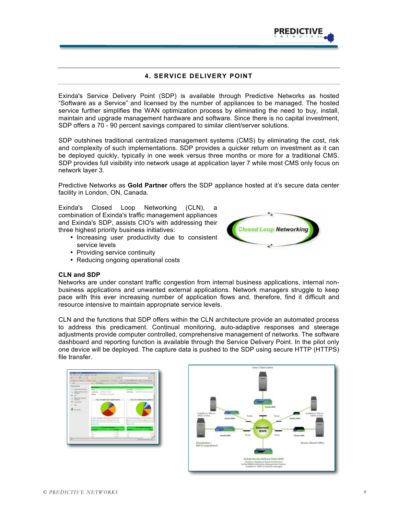

# **4. SERVICE DELIVERY POINT**

Exinda's Service Delivery Point (SDP) is available through Predictive Networks as hosted "Software as a Service" and licensed by the number of appliances to be managed. The hosted service further simplifies the WAN optimization process by eliminating the need to buy, install, maintain and upgrade management hardware and software. Since there is no capital investment, SDP offers a 70 - 90 percent savings compared to similar client/server solutions.

SDP outshines traditional centralized management systems (CMS) by eliminating the cost, risk and complexity of such implementations. SDP provides a quicker return on investment as it can be deployed quickly, typically in one week versus three months or more for a traditional CMS. SDP provides full visibility into network usage at application layer 7 while most CMS only focus on network layer 3.

Predictive Networks as **Gold Partner** offers the SDP appliance hosted at it's secure data center facility in London, ON, Canada.

Exinda's Closed Loop Networking (CLN), a combination of Exinda's traffic management appliances and Exinda's SDP, assists CIO's with addressing their three highest priority business initiatives:

- Increasing user productivity due to consistent service levels
- Providing service continuity
- Reducing ongoing operational costs





CLN and the functions that SDP offers within the CLN architecture provide an automated process to address this predicament. Continual monitoring, auto-adaptive responses and steerage adjustments provide computer controlled, comprehensive management of networks. The software dashboard and reporting function is available through the Service Delivery Point. In the pilot only one device will be deployed. The capture data is pushed to the SDP using secure HTTP (HTTPS) file transfer.





**Closed Loop Networkin**